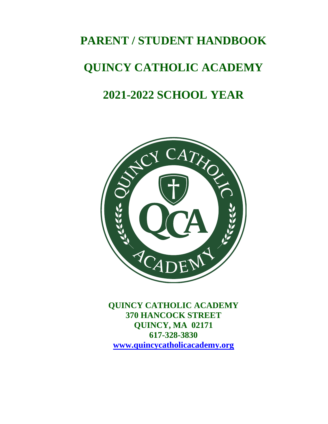# **PARENT / STUDENT HANDBOOK QUINCY CATHOLIC ACADEMY 2021-2022 SCHOOL YEAR**



**QUINCY CATHOLIC ACADEMY 370 HANCOCK STREET QUINCY, MA 02171 617-328-3830 [www.quincycatholicacademy.org](http://www.quincycatholicacademy.org/)**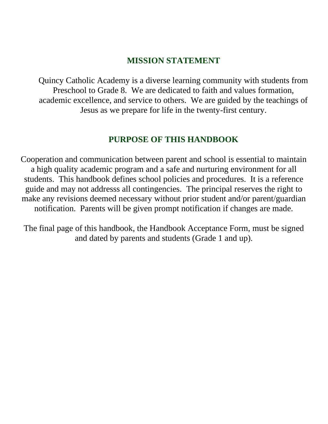# **MISSION STATEMENT**

Quincy Catholic Academy is a diverse learning community with students from Preschool to Grade 8. We are dedicated to faith and values formation, academic excellence, and service to others. We are guided by the teachings of Jesus as we prepare for life in the twenty-first century.

# **PURPOSE OF THIS HANDBOOK**

Cooperation and communication between parent and school is essential to maintain a high quality academic program and a safe and nurturing environment for all students. This handbook defines school policies and procedures. It is a reference guide and may not addresss all contingencies. The principal reserves the right to make any revisions deemed necessary without prior student and/or parent/guardian notification. Parents will be given prompt notification if changes are made.

The final page of this handbook, the Handbook Acceptance Form, must be signed and dated by parents and students (Grade 1 and up).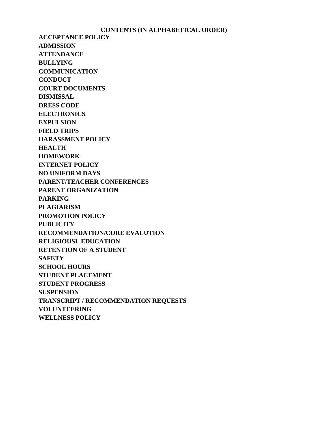#### **CONTENTS (IN ALPHABETICAL ORDER)**

**ACCEPTANCE POLICY ADMISSION ATTENDANCE BULLYING COMMUNICATION CONDUCT COURT DOCUMENTS DISMISSAL DRESS CODE ELECTRONICS EXPULSION FIELD TRIPS HARASSMENT POLICY HEALTH HOMEWORK INTERNET POLICY NO UNIFORM DAYS PARENT/TEACHER CONFERENCES PARENT ORGANIZATION PARKING PLAGIARISM PROMOTION POLICY PUBLICITY RECOMMENDATION/CORE EVALUTION RELIGIOUSL EDUCATION RETENTION OF A STUDENT SAFETY SCHOOL HOURS STUDENT PLACEMENT STUDENT PROGRESS SUSPENSION TRANSCRIPT / RECOMMENDATION REQUESTS VOLUNTEERING WELLNESS POLICY**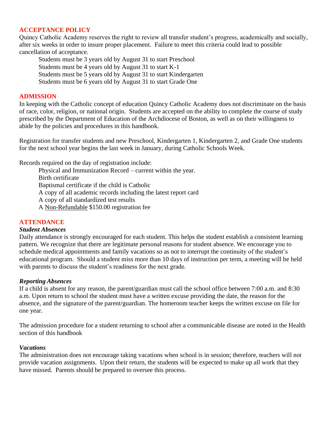## **ACCEPTANCE POLICY**

Quincy Catholic Academy reserves the right to review all transfer student's progress, academically and socially, after six weeks in order to insure proper placement. Failure to meet this criteria could lead to possible cancellation of acceptance.

Students must be 3 years old by August 31 to start Preschool Students must be 4 years old by August 31 to start K-1 Students must be 5 years old by August 31 to start Kindergarten Students must be 6 years old by August 31 to start Grade One

## **ADMISSION**

In keeping with the Catholic concept of education Quincy Catholic Academy does not discriminate on the basis of race, color, religion, or national origin. Students are accepted on the ability to complete the course of study prescribed by the Department of Education of the Archdiocese of Boston, as well as on their willingness to abide by the policies and procedures in this handbook.

Registration for transfer students and new Preschool, Kindergarten 1, Kindergarten 2, and Grade One students for the next school year begins the last week in January, during Catholic Schools Week.

Records required on the day of registration include:

Physical and Immunization Record – current within the year. Birth certificate Baptismal certificate if the child is Catholic A copy of all academic records including the latest report card A copy of all standardized test results A Non-Refundable \$150.00 registration fee

## **ATTENDANCE**

## *Student Absences*

Daily attendance is strongly encouraged for each student. This helps the student establish a consistent learning pattern. We recognize that there are legitimate personal reasons for student absence. We encourage you to schedule medical appointments and family vacations so as not to interrupt the continuity of the student's educational program. Should a student miss more than 10 days of instruction per term, a meeting will be held with parents to discuss the student's readiness for the next grade.

## *Reporting Absences*

If a child is absent for any reason, the parent/guardian must call the school office between 7:00 a.m. and 8:30 a.m. Upon return to school the student must have a written excuse providing the date, the reason for the absence, and the signature of the parent/guardian. The homeroom teacher keeps the written excuse on file for one year.

The admission procedure for a student returning to school after a communicable disease are noted in the Health section of this handbook

## *Vacations*

The administration does not encourage taking vacations when school is in session; therefore, teachers will not provide vacation assignments. Upon their return, the students will be expected to make up all work that they have missed. Parents should be prepared to oversee this process.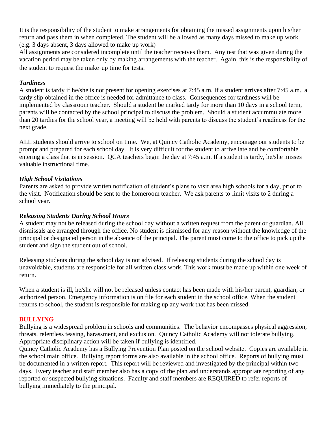It is the responsibility of the student to make arrangements for obtaining the missed assignments upon his/her return and pass them in when completed. The student will be allowed as many days missed to make up work. (e.g. 3 days absent, 3 days allowed to make up work)

All assignments are considered incomplete until the teacher receives them. Any test that was given during the vacation period may be taken only by making arrangements with the teacher. Again, this is the responsibility of the student to request the make-up time for tests.

## *Tardiness*

A student is tardy if he/she is not present for opening exercises at 7:45 a.m. If a student arrives after 7:45 a.m., a tardy slip obtained in the office is needed for admittance to class. Consequences for tardiness will be implemented by classroom teacher. Should a student be marked tardy for more than 10 days in a school term, parents will be contacted by the school principal to discuss the problem. Should a student accummulate more than 20 tardies for the school year, a meeting will be held with parents to discuss the student's readiness for the next grade.

ALL students should arrive to school on time. We, at Quincy Catholic Academy, encourage our students to be prompt and prepared for each school day. It is very difficult for the student to arrive late and be comfortable entering a class that is in session. QCA teachers begin the day at 7:45 a.m. If a student is tardy, he/she misses valuable instructional time.

## *High School Visitations*

Parents are asked to provide written notification of student's plans to visit area high schools for a day, prior to the visit. Notification should be sent to the homeroom teacher. We ask parents to limit visits to 2 during a school year.

## *Releasing Students During School Hours*

A student may not be released during the school day without a written request from the parent or guardian. All dismissals are arranged through the office. No student is dismissed for any reason without the knowledge of the principal or designated person in the absence of the principal. The parent must come to the office to pick up the student and sign the student out of school.

Releasing students during the school day is not advised. If releasing students during the school day is unavoidable, students are responsible for all written class work. This work must be made up within one week of return.

When a student is ill, he/she will not be released unless contact has been made with his/her parent, guardian, or authorized person. Emergency information is on file for each student in the school office. When the student returns to school, the student is responsible for making up any work that has been missed.

## **BULLYING**

Bullying is a widespread problem in schools and communities. The behavior encompasses physical aggression, threats, relentless teasing, harassment, and exclusion. Quincy Catholic Academy will not tolerate bullying. Appropriate disciplinary action will be taken if bullying is identified.

Quincy Catholic Academy has a Bullying Prevention Plan posted on the school website. Copies are available in the school main office. Bullying report forms are also available in the school office. Reports of bullying must be documented in a written report. This report will be reviewed and investigated by the principal within two days. Every teacher and staff member also has a copy of the plan and understands appropriate reporting of any reported or suspected bullying situations. Faculty and staff members are REQUIRED to refer reports of bullying immediately to the principal.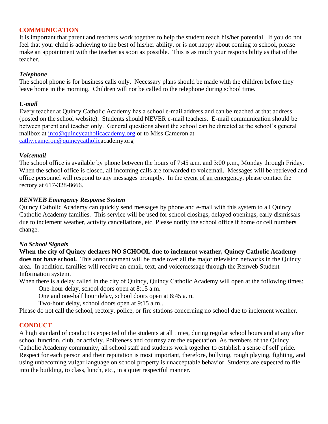## **COMMUNICATION**

It is important that parent and teachers work together to help the student reach his/her potential. If you do not feel that your child is achieving to the best of his/her ability, or is not happy about coming to school, please make an appointment with the teacher as soon as possible. This is as much your responsibility as that of the teacher.

## *Telephone*

The school phone is for business calls only. Necessary plans should be made with the children before they leave home in the morning. Children will not be called to the telephone during school time.

## *E-mail*

Every teacher at Quincy Catholic Academy has a school e-mail address and can be reached at that address (posted on the school website). Students should NEVER e-mail teachers. E-mail communication should be between parent and teacher only. General questions about the school can be directed at the school's general mailbox at [info@quincycatholicacademy.org](mailto:info@quincycatholicacademy.org) or to Miss Cameron at [cathy.cameron@quincycatholica](mailto:cathy.cameron@quincycatholic)cademy.org

## *Voicemail*

The school office is available by phone between the hours of 7:45 a.m. and 3:00 p.m., Monday through Friday. When the school office is closed, all incoming calls are forwarded to voicemail. Messages will be retrieved and office personnel will respond to any messages promptly. In the event of an emergency, please contact the rectory at 617-328-8666.

## *RENWEB Emergency Response System*

Quincy Catholic Academy can quickly send messages by phone and e-mail with this system to all Quincy Catholic Academy families. This service will be used for school closings, delayed openings, early dismissals due to inclement weather, activity cancellations, etc. Please notify the school office if home or cell numbers change.

## *No School Signals*

**When the city of Quincy declares NO SCHOOL due to inclement weather, Quincy Catholic Academy**  does not have school. This announcement will be made over all the major television networks in the Quincy area. In addition, families will receive an email, text, and voicemessage through the Renweb Student Information system.

When there is a delay called in the city of Quincy, Quincy Catholic Academy will open at the following times: One-hour delay, school doors open at 8:15 a.m.

One and one-half hour delay, school doors open at 8:45 a.m.

Two-hour delay, school doors open at 9:15 a.m..

Please do not call the school, rectory, police, or fire stations concerning no school due to inclement weather.

## **CONDUCT**

A high standard of conduct is expected of the students at all times, during regular school hours and at any after school function, club, or activity. Politeness and courtesy are the expectation. As members of the Quincy Catholic Academy community, all school staff and students work together to establish a sense of self pride. Respect for each person and their reputation is most important, therefore, bullying, rough playing, fighting, and using unbecoming vulgar language on school property is unacceptable behavior. Students are expected to file into the building, to class, lunch, etc., in a quiet respectful manner.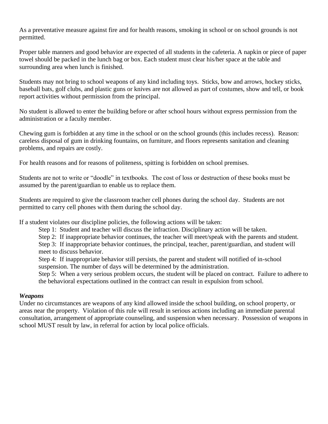As a preventative measure against fire and for health reasons, smoking in school or on school grounds is not permitted.

Proper table manners and good behavior are expected of all students in the cafeteria. A napkin or piece of paper towel should be packed in the lunch bag or box. Each student must clear his/her space at the table and surrounding area when lunch is finished.

Students may not bring to school weapons of any kind including toys. Sticks, bow and arrows, hockey sticks, baseball bats, golf clubs, and plastic guns or knives are not allowed as part of costumes, show and tell, or book report activities without permission from the principal.

No student is allowed to enter the building before or after school hours without express permission from the administration or a faculty member.

Chewing gum is forbidden at any time in the school or on the school grounds (this includes recess). Reason: careless disposal of gum in drinking fountains, on furniture, and floors represents sanitation and cleaning problems, and repairs are costly.

For health reasons and for reasons of politeness, spitting is forbidden on school premises.

Students are not to write or "doodle" in textbooks. The cost of loss or destruction of these books must be assumed by the parent/guardian to enable us to replace them.

Students are required to give the classroom teacher cell phones during the school day. Students are not permitted to carry cell phones with them during the school day.

If a student violates our discipline policies, the following actions will be taken:

Step 1: Student and teacher will discuss the infraction. Disciplinary action will be taken.

Step 2: If inappropriate behavior continues, the teacher will meet/speak with the parents and student.

Step 3: If inappropriate behavior continues, the principal, teacher, parent/guardian, and student will meet to discuss behavior.

Step 4: If inappropriate behavior still persists, the parent and student will notified of in-school suspension. The number of days will be determined by the administration.

Step 5: When a very serious problem occurs, the student will be placed on contract. Failure to adhere to the behavioral expectations outlined in the contract can result in expulsion from school.

## *Weapons*

Under no circumstances are weapons of any kind allowed inside the school building, on school property, or areas near the property. Violation of this rule will result in serious actions including an immediate parental consultation, arrangement of appropriate counseling, and suspension when necessary. Possession of weapons in school MUST result by law, in referral for action by local police officials.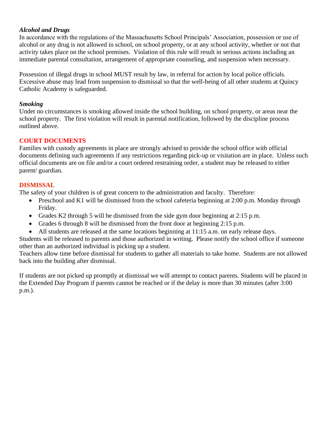## *Alcohol and Drugs*

In accordance with the regulations of the Massachusetts School Principals' Association, possession or use of alcohol or any drug is not allowed in school, on school property, or at any school activity, whether or not that activity takes place on the school premises. Violation of this rule will result in serious actions including an immediate parental consultation, arrangement of appropriate counseling, and suspension when necessary.

Possession of illegal drugs in school MUST result by law, in referral for action by local police officials. Excessive abuse may lead from suspension to dismissal so that the well-being of all other students at Quincy Catholic Academy is safeguarded.

## *Smoking*

Under no circumstances is smoking allowed inside the school building, on school property, or areas near the school property. The first violation will result in parental notification, followed by the discipline process outlined above.

## **COURT DOCUMENTS**

Families with custody agreements in place are strongly advised to provide the school office with official documents defining such agreements if any restrictions regarding pick-up or visitation are in place. Unless such official documents are on file and/or a court ordered restraining order, a student may be released to either parent/ guardian.

## **DISMISSAL**

The safety of your children is of great concern to the administration and faculty. Therefore:

- Preschool and K1 will be dismissed from the school cafeteria beginning at 2:00 p.m. Monday through Friday.
- Grades K2 through 5 will be dismissed from the side gym door beginning at 2:15 p.m.
- Grades 6 through 8 will be dismissed from the front door at beginning 2:15 p.m.
- All students are released at the same locations beginning at 11:15 a.m. on early release days.

Students will be released to parents and those authorized in writing. Please notify the school office if someone other than an authorized individual is picking up a student.

Teachers allow time before dismissal for students to gather all materials to take home. Students are not allowed back into the building after dismissal.

If students are not picked up promptly at dismissal we will attempt to contact parents. Students will be placed in the Extended Day Program if parents cannot be reached or if the delay is more than 30 minutes (after 3:00 p.m.).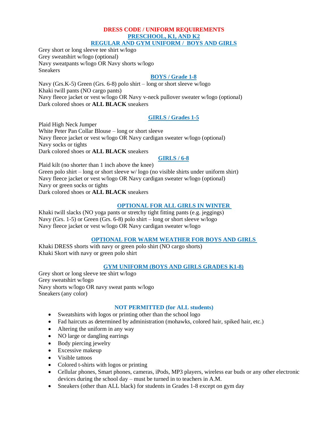#### **DRESS CODE / UNIFORM REQUIREMENTS PRESCHOOL, K1, AND K2 REGULAR AND GYM UNIFORM / BOYS AND GIRLS**

Grey short or long sleeve tee shirt w/logo Grey sweatshirt w/logo (optional) Navy sweatpants w/logo OR Navy shorts w/logo Sneakers

## **BOYS / Grade 1-8**

Navy (Grs.K-5) Green (Grs. 6-8) polo shirt – long or short sleeve w/logo Khaki twill pants (NO cargo pants) Navy fleece jacket or vest w/logo OR Navy v-neck pullover sweater w/logo (optional) Dark colored shoes or **ALL BLACK** sneakers

## **GIRLS / Grades 1-5**

Plaid High Neck Jumper White Peter Pan Collar Blouse – long or short sleeve Navy fleece jacket or vest w/logo OR Navy cardigan sweater w/logo (optional) Navy socks or tights Dark colored shoes or **ALL BLACK** sneakers

**GIRLS / 6-8**

Plaid kilt (no shorter than 1 inch above the knee) Green polo shirt – long or short sleeve w/ logo (no visible shirts under uniform shirt) Navy fleece jacket or vest w/logo OR Navy cardigan sweater w/logo (optional) Navy or green socks or tights Dark colored shoes or **ALL BLACK** sneakers

## **OPTIONAL FOR ALL GIRLS IN WINTER**

Khaki twill slacks (NO yoga pants or stretchy tight fitting pants (e.g. jeggings) Navy (Grs. 1-5) or Green (Grs. 6-8) polo shirt – long or short sleeve w/logo Navy fleece jacket or vest w/logo OR Navy cardigan sweater w/logo

## **OPTIONAL FOR WARM WEATHER FOR BOYS AND GIRLS**

Khaki DRESS shorts with navy or green polo shirt (NO cargo shorts) Khaki Skort with navy or green polo shirt

## **GYM UNIFORM (BOYS AND GIRLS GRADES K1-8)**

Grey short or long sleeve tee shirt w/logo Grey sweatshirt w/logo Navy shorts w/logo OR navy sweat pants w/logo Sneakers (any color)

#### **NOT PERMITTED (for ALL students)**

- Sweatshirts with logos or printing other than the school logo
- Fad haircuts as determined by administration (mohawks, colored hair, spiked hair, etc.)
- Altering the uniform in any way
- NO large or dangling earrings
- Body piercing jewelry
- Excessive makeup
- Visible tattoos
- Colored t-shirts with logos or printing
- Cellular phones, Smart phones, cameras, iPods, MP3 players, wireless ear buds or any other electronic devices during the school day – must be turned in to teachers in A.M.
- Sneakers (other than ALL black) for students in Grades 1-8 except on gym day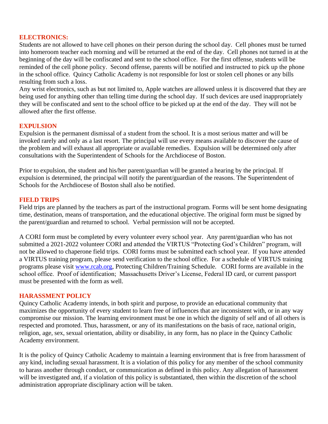## **ELECTRONICS:**

Students are not allowed to have cell phones on their person during the school day. Cell phones must be turned into homeroom teacher each morning and will be returned at the end of the day. Cell phones not turned in at the beginning of the day will be confiscated and sent to the school office. For the first offense, students will be reminded of the cell phone policy. Second offense, parents will be notified and instructed to pick up the phone in the school office. Quincy Catholic Academy is not responsible for lost or stolen cell phones or any bills resulting from such a loss.

Any wrist electronics, such as but not limited to, Apple watches are allowed unless it is discovered that they are being used for anything other than telling time during the school day. If such devices are used inappropriately they will be confiscated and sent to the school office to be picked up at the end of the day. They will not be allowed after the first offense.

## **EXPULSION**

Expulsion is the permanent dismissal of a student from the school. It is a most serious matter and will be invoked rarely and only as a last resort. The principal will use every means available to discover the cause of the problem and will exhaust all appropriate or available remedies. Expulsion will be determined only after consultations with the Superintendent of Schools for the Archdiocese of Boston.

Prior to expulsion, the student and his/her parent/guardian will be granted a hearing by the principal. If expulsion is determined, the principal will notify the parent/guardian of the reasons. The Superintendent of Schools for the Archdiocese of Boston shall also be notified.

## **FIELD TRIPS**

Field trips are planned by the teachers as part of the instructional program. Forms will be sent home designating time, destination, means of transportation, and the educational objective. The original form must be signed by the parent/guardian and returned to school. Verbal permission will not be accepted.

A CORI form must be completed by every volunteer every school year. Any parent/guardian who has not submitted a 2021-2022 volunteer CORI and attended the VIRTUS "Protecting God's Children" program, will not be allowed to chaperone field trips. CORI forms must be submitted each school year. If you have attended a VIRTUS training program, please send verification to the school office. For a schedule of VIRTUS training programs please visit [www.rcab.org,](http://www.rcab.org/) Protecting Children/Training Schedule. CORI forms are available in the school office. Proof of identification; Massachusetts Driver's License, Federal ID card, or current passport must be presented with the form as well.

#### **HARASSMENT POLICY**

Quincy Catholic Academy intends, in both spirit and purpose, to provide an educational community that maximizes the opportunity of every student to learn free of influences that are inconsistent with, or in any way compromise our mission. The learning environment must be one in which the dignity of self and of all others is respected and promoted. Thus, harassment, or any of its manifestations on the basis of race, national origin, religion, age, sex, sexual orientation, ability or disability, in any form, has no place in the Quincy Catholic Academy environment.

It is the policy of Quincy Catholic Academy to maintain a learning environment that is free from harassment of any kind, including sexual harassment. It is a violation of this policy for any member of the school community to harass another through conduct, or communication as defined in this policy. Any allegation of harassment will be investigated and, if a violation of this policy is substantiated, then within the discretion of the school administration appropriate disciplinary action will be taken.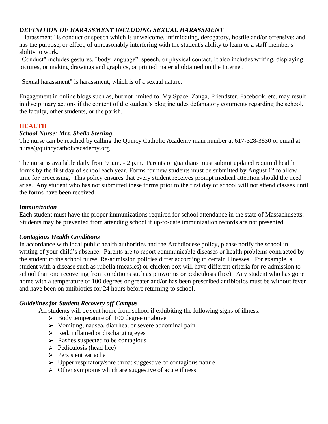## *DEFINITION OF HARASSMENT INCLUDING SEXUAL HARASSMENT*

"Harassment" is conduct or speech which is unwelcome, intimidating, derogatory, hostile and/or offensive; and has the purpose, or effect, of unreasonably interfering with the student's ability to learn or a staff member's ability to work.

"Conduct" includes gestures, "body language", speech, or physical contact. It also includes writing, displaying pictures, or making drawings and graphics, or printed material obtained on the Internet.

"Sexual harassment" is harassment, which is of a sexual nature.

Engagement in online blogs such as, but not limited to, My Space, Zanga, Friendster, Facebook, etc. may result in disciplinary actions if the content of the student's blog includes defamatory comments regarding the school, the faculty, other students, or the parish.

## **HEALTH**

## *School Nurse: Mrs. Sheila Sterling*

The nurse can be reached by calling the Quincy Catholic Academy main number at 617-328-3830 or email at nurse@quincycatholicacademy.org

The nurse is available daily from 9 a.m. - 2 p.m. Parents or guardians must submit updated required health forms by the first day of school each year. Forms for new students must be submitted by August 1<sup>st</sup> to allow time for processing. This policy ensures that every student receives prompt medical attention should the need arise. Any student who has not submitted these forms prior to the first day of school will not attend classes until the forms have been received.

## *Immunization*

Each student must have the proper immunizations required for school attendance in the state of Massachusetts. Students may be prevented from attending school if up-to-date immunization records are not presented.

## *Contagious Health Conditions*

In accordance with local public health authorities and the Archdiocese policy, please notify the school in writing of your child's absence. Parents are to report communicable diseases or health problems contracted by the student to the school nurse. Re-admission policies differ according to certain illnesses. For example, a student with a disease such as rubella (measles) or chicken pox will have different criteria for re-admission to school than one recovering from conditions such as pinworms or pediculosis (lice). Any student who has gone home with a temperature of 100 degrees or greater and/or has been prescribed antibiotics must be without fever and have been on antibiotics for 24 hours before returning to school.

## *Guidelines for Student Recovery off Campus*

All students will be sent home from school if exhibiting the following signs of illness:

- $\triangleright$  Body temperature of 100 degree or above
- Vomiting, nausea, diarrhea, or severe abdominal pain
- $\triangleright$  Red, inflamed or discharging eyes
- $\triangleright$  Rashes suspected to be contagious
- $\triangleright$  Pediculosis (head lice)
- $\triangleright$  Persistent ear ache
- $\triangleright$  Upper respiratory/sore throat suggestive of contagious nature
- $\triangleright$  Other symptoms which are suggestive of acute illness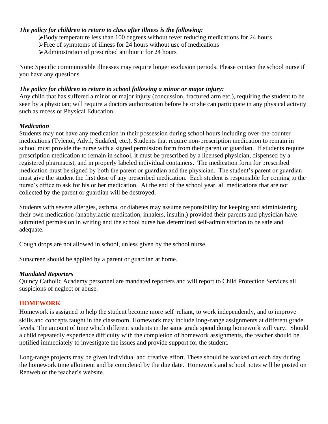## *The policy for children to return to class after illness is the following:*

- Body temperature less than 100 degrees without fever reducing medications for 24 hours
- Free of symptoms of illness for 24 hours without use of medications
- Administration of prescribed antibiotic for 24 hours

Note: Specific communicable illnesses may require longer exclusion periods. Please contact the school nurse if you have any questions.

## *The policy for children to return to school following a minor or major injury:*

Any child that has suffered a minor or major injury (concussion, fractured arm etc.), requiring the student to be seen by a physician; will require a doctors authorization before he or she can participate in any physical activity such as recess or Physical Education.

## *Medication*

Students may not have any medication in their possession during school hours including over-the-counter medications (Tylenol, Advil, Sudafed, etc.). Students that require non-prescription medication to remain in school must provide the nurse with a signed permission form from their parent or guardian. If students require prescription medication to remain in school, it must be prescribed by a licensed physician, dispensed by a registered pharmacist, and in properly labeled individual containers. The medication form for prescribed medication must be signed by both the parent or guardian and the physician. The student's parent or guardian must give the student the first dose of any prescribed medication. Each student is responsible for coming to the nurse's office to ask for his or her medication. At the end of the school year, all medications that are not collected by the parent or guardian will be destroyed.

Students with severe allergies, asthma, or diabetes may assume responsibility for keeping and administering their own medication (anaphylactic medication, inhalers, insulin,) provided their parents and physician have submitted permission in writing and the school nurse has determined self-administration to be safe and adequate.

Cough drops are not allowed in school, unless given by the school nurse.

Sunscreen should be applied by a parent or guardian at home.

## *Mandated Reporters*

Quincy Catholic Academy personnel are mandated reporters and will report to Child Protection Services all suspicions of neglect or abuse.

## **HOMEWORK**

Homework is assigned to help the student become more self-reliant, to work independently, and to improve skills and concepts taught in the classroom. Homework may include long-range assignments at different grade levels. The amount of time which different students in the same grade spend doing homework will vary. Should a child repeatedly experience difficulty with the completion of homework assignments, the teacher should be notified immediately to investigate the issues and provide support for the student.

Long-range projects may be given individual and creative effort. These should be worked on each day during the homework time allotment and be completed by the due date. Homework and school notes will be posted on Renweb or the teacher's website.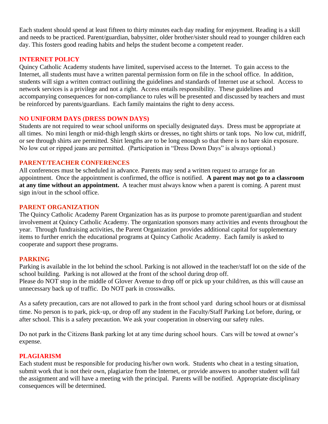Each student should spend at least fifteen to thirty minutes each day reading for enjoyment. Reading is a skill and needs to be practiced. Parent/guardian, babysitter, older brother/sister should read to younger children each day. This fosters good reading habits and helps the student become a competent reader.

## **INTERNET POLICY**

Quincy Catholic Academy students have limited, supervised access to the Internet. To gain access to the Internet, all students must have a written parental permission form on file in the school office. In addition, students will sign a written contract outlining the guidelines and standards of Internet use at school. Access to network services is a privilege and not a right. Access entails responsibility. These guidelines and accompanying consequences for non-compliance to rules will be presented and discussed by teachers and must be reinforced by parents/guardians. Each family maintains the right to deny access.

## **NO UNIFORM DAYS (DRESS DOWN DAYS)**

Students are not required to wear school uniforms on specially designated days. Dress must be appropriate at all times. No mini length or mid-thigh length skirts or dresses, no tight shirts or tank tops. No low cut, midriff, or see through shirts are permitted. Shirt lengths are to be long enough so that there is no bare skin exposure. No low cut or ripped jeans are permitted. (Participation in "Dress Down Days" is always optional.)

## **PARENT/TEACHER CONFERENCES**

All conferences must be scheduled in advance. Parents may send a written request to arrange for an appointment. Once the appointment is confirmed, the office is notified. **A parent may not go to a classroom at any time without an appointment.** A teacher must always know when a parent is coming. A parent must sign in/out in the school office.

## **PARENT ORGANIZATION**

The Quincy Catholic Academy Parent Organization has as its purpose to promote parent/guardian and student involvement at Quincy Catholic Academy. The organization sponsors many activities and events throughout the year. Through fundraising activities, the Parent Organization provides additional capital for supplementary items to further enrich the educational programs at Quincy Catholic Academy. Each family is asked to cooperate and support these programs.

## **PARKING**

Parking is available in the lot behind the school. Parking is not allowed in the teacher/staff lot on the side of the school building. Parking is not allowed at the front of the school during drop off. Please do NOT stop in the middle of Glover Avenue to drop off or pick up your child/ren, as this will cause an unnecessary back up of traffic. Do NOT park in crosswalks.

As a safety precaution, cars are not allowed to park in the front school yard during school hours or at dismissal time. No person is to park, pick-up, or drop off any student in the Faculty/Staff Parking Lot before, during, or after school. This is a safety precaution. We ask your cooperation in observing our safety rules.

Do not park in the Citizens Bank parking lot at any time during school hours. Cars will be towed at owner's expense.

## **PLAGIARISM**

Each student must be responsible for producing his/her own work. Students who cheat in a testing situation, submit work that is not their own, plagiarize from the Internet, or provide answers to another student will fail the assignment and will have a meeting with the principal. Parents will be notified. Appropriate disciplinary consequences will be determined.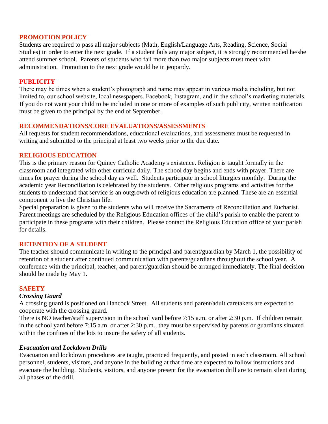## **PROMOTION POLICY**

Students are required to pass all major subjects (Math, English/Language Arts, Reading, Science, Social Studies) in order to enter the next grade. If a student fails any major subject, it is strongly recommended he/she attend summer school. Parents of students who fail more than two major subjects must meet with administration. Promotion to the next grade would be in jeopardy.

## **PUBLICITY**

There may be times when a student's photograph and name may appear in various media including, but not limited to, our school website, local newspapers, Facebook, Instagram, and in the school's marketing materials. If you do not want your child to be included in one or more of examples of such publicity, written notification must be given to the principal by the end of September.

## **RECOMMENDATIONS/CORE EVALUATIONS/ASSESSMENTS**

All requests for student recommendations, educational evaluations, and assessments must be requested in writing and submitted to the principal at least two weeks prior to the due date.

## **RELIGIOUS EDUCATION**

This is the primary reason for Quincy Catholic Academy's existence. Religion is taught formally in the classroom and integrated with other curricula daily. The school day begins and ends with prayer. There are times for prayer during the school day as well. Students participate in school liturgies monthly. During the academic year Reconciliation is celebrated by the students. Other religious programs and activities for the students to understand that service is an outgrowth of religious education are planned. These are an essential component to live the Christian life.

Special preparation is given to the students who will receive the Sacraments of Reconciliation and Eucharist. Parent meetings are scheduled by the Religious Education offices of the child's parish to enable the parent to participate in these programs with their children. Please contact the Religious Education office of your parish for details.

## **RETENTION OF A STUDENT**

The teacher should communicate in writing to the principal and parent/guardian by March 1, the possibility of retention of a student after continued communication with parents/guardians throughout the school year. A conference with the principal, teacher, and parent/guardian should be arranged immediately. The final decision should be made by May 1.

## **SAFETY**

## *Crossing Guard*

A crossing guard is positioned on Hancock Street. All students and parent/adult caretakers are expected to cooperate with the crossing guard.

There is NO teacher/staff supervision in the school yard before 7:15 a.m. or after 2:30 p.m. If children remain in the school yard before 7:15 a.m. or after 2:30 p.m., they must be supervised by parents or guardians situated within the confines of the lots to insure the safety of all students.

## *Evacuation and Lockdown Drills*

Evacuation and lockdown procedures are taught, practiced frequently, and posted in each classroom. All school personnel, students, visitors, and anyone in the building at that time are expected to follow instructions and evacuate the building. Students, visitors, and anyone present for the evacuation drill are to remain silent during all phases of the drill.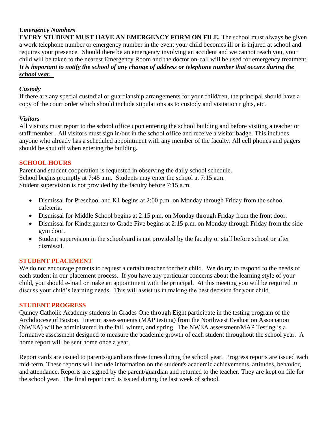## *Emergency Numbers*

**EVERY STUDENT MUST HAVE AN EMERGENCY FORM ON FILE.** The school must always be given a work telephone number or emergency number in the event your child becomes ill or is injured at school and requires your presence. Should there be an emergency involving an accident and we cannot reach you, your child will be taken to the nearest Emergency Room and the doctor on-call will be used for emergency treatment. *It is important to notify the school of any change of address or telephone number that occurs during the school year.* 

## *Custody*

If there are any special custodial or guardianship arrangements for your child/ren, the principal should have a copy of the court order which should include stipulations as to custody and visitation rights, etc.

## *Visitors*

All visitors must report to the school office upon entering the school building and before visiting a teacher or staff member. All visitors must sign in/out in the school office and receive a visitor badge. This includes anyone who already has a scheduled appointment with any member of the faculty. All cell phones and pagers should be shut off when entering the building**.**

## **SCHOOL HOURS**

Parent and student cooperation is requested in observing the daily school schedule. School begins promptly at 7:45 a.m. Students may enter the school at 7:15 a.m. Student supervision is not provided by the faculty before 7:15 a.m.

- Dismissal for Preschool and K1 begins at 2:00 p.m. on Monday through Friday from the school cafeteria.
- Dismissal for Middle School begins at 2:15 p.m. on Monday through Friday from the front door.
- Dismissal for Kindergarten to Grade Five begins at 2:15 p.m. on Monday through Friday from the side gym door.
- Student supervision in the schoolyard is not provided by the faculty or staff before school or after dismissal.

## **STUDENT PLACEMENT**

We do not encourage parents to request a certain teacher for their child. We do try to respond to the needs of each student in our placement process. If you have any particular concerns about the learning style of your child, you should e-mail or make an appointment with the principal. At this meeting you will be required to discuss your child's learning needs. This will assist us in making the best decision for your child.

## **STUDENT PROGRESS**

Quincy Catholic Academy students in Grades One through Eight participate in the testing program of the Archdiocese of Boston. Interim assessements (MAP testing) from the Northwest Evaluation Association (NWEA) will be administered in the fall, winter, and spring. The NWEA assessment/MAP Testing is a formative assessment designed to measure the academic growth of each student throughout the school year. A home report will be sent home once a year.

Report cards are issued to parents/guardians three times during the school year. Progress reports are issued each mid-term. These reports will include information on the student's academic achievements, attitudes, behavior, and attendance. Reports are signed by the parent/guardian and returned to the teacher. They are kept on file for the school year. The final report card is issued during the last week of school.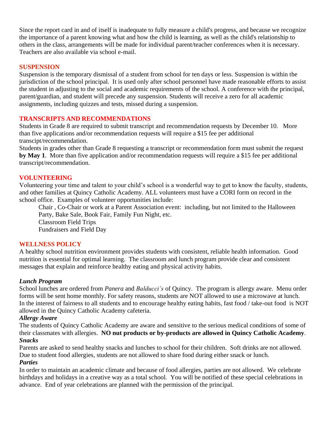Since the report card in and of itself is inadequate to fully measure a child's progress, and because we recognize the importance of a parent knowing what and how the child is learning, as well as the child's relationship to others in the class, arrangements will be made for individual parent/teacher conferences when it is necessary. Teachers are also available via school e-mail.

## **SUSPENSION**

Suspension is the temporary dismissal of a student from school for ten days or less. Suspension is within the jurisdiction of the school principal. It is used only after school personnel have made reasonable efforts to assist the student in adjusting to the social and academic requirements of the school. A conference with the principal, parent/guardian, and student will precede any suspension. Students will receive a zero for all academic assignments, including quizzes and tests, missed during a suspension.

## **TRANSCRIPTS AND RECOMMENDATIONS**

Students in Grade 8 are required to submit transcript and recommendation requests by December 10. More than five applications and/or recommendation requests will require a \$15 fee per additional transcipt/recommendation.

Students in grades other than Grade 8 requesting a transcript or recommendation form must submit the request **by May 1**. More than five application and/or recommendation requests will require a \$15 fee per additional transcript/recommendation.

## **VOLUNTEERING**

Volunteering your time and talent to your child's school is a wonderful way to get to know the faculty, students, and other families at Quincy Catholic Academy. ALL volunteers must have a CORI form on record in the school office. Examples of volunteer opportunities include:

Chair , Co-Chair or work at a Parent Association event: including, but not limited to the Halloween Party, Bake Sale, Book Fair, Family Fun Night, etc. Classroom Field Trips Fundraisers and Field Day

## **WELLNESS POLICY**

A healthy school nutrition environment provides students with consistent, reliable health information. Good nutrition is essential for optimal learning. The classroom and lunch program provide clear and consistent messages that explain and reinforce healthy eating and physical activity habits.

## *Lunch Program*

School lunches are ordered from *Panera* and *Balducci's* of Quincy. The program is allergy aware. Menu order forms will be sent home monthly. For safety reasons, students are NOT allowed to use a microwave at lunch. In the interest of fairness to all students and to encourage healthy eating habits, fast food / take-out food is NOT allowed in the Quincy Catholic Academy cafeteria.

## *Allergy Aware*

The students of Quincy Catholic Academy are aware and sensitive to the serious medical conditions of some of their classmates with allergies. **NO nut products or by-products are allowed in Quincy Catholic Academy**. *Snacks*

Parents are asked to send healthy snacks and lunches to school for their children. Soft drinks are not allowed. Due to student food allergies, students are not allowed to share food during either snack or lunch.

## *Parties*

In order to maintain an academic climate and because of food allergies, parties are not allowed. We celebrate birthdays and holidays in a creative way as a total school. You will be notified of these special celebrations in advance. End of year celebrations are planned with the permission of the principal.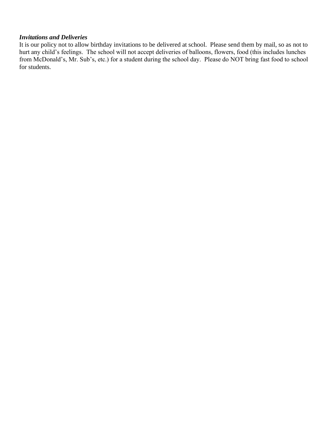#### *Invitations and Deliveries*

It is our policy not to allow birthday invitations to be delivered at school. Please send them by mail, so as not to hurt any child's feelings. The school will not accept deliveries of balloons, flowers, food (this includes lunches from McDonald's, Mr. Sub's, etc.) for a student during the school day. Please do NOT bring fast food to school for students.